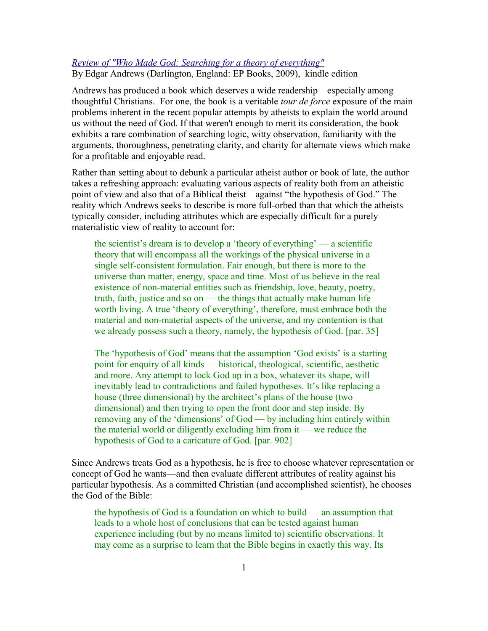## *[Review of "Who Made God: Searching for a theory of everything"](http://www.spiritandtruth.org/id/isbn.htm?9780852347539)* By Edgar Andrews (Darlington, England: EP Books, 2009), kindle edition

Andrews has produced a book which deserves a wide readership—especially among thoughtful Christians. For one, the book is a veritable *tour de force* exposure of the main problems inherent in the recent popular attempts by atheists to explain the world around us without the need of God. If that weren't enough to merit its consideration, the book exhibits a rare combination of searching logic, witty observation, familiarity with the arguments, thoroughness, penetrating clarity, and charity for alternate views which make for a profitable and enjoyable read.

Rather than setting about to debunk a particular atheist author or book of late, the author takes a refreshing approach: evaluating various aspects of reality both from an atheistic point of view and also that of a Biblical theist—against "the hypothesis of God." The reality which Andrews seeks to describe is more full-orbed than that which the atheists typically consider, including attributes which are especially difficult for a purely materialistic view of reality to account for:

the scientist's dream is to develop a 'theory of everything' — a scientific theory that will encompass all the workings of the physical universe in a single self-consistent formulation. Fair enough, but there is more to the universe than matter, energy, space and time. Most of us believe in the real existence of non-material entities such as friendship, love, beauty, poetry, truth, faith, justice and so on — the things that actually make human life worth living. A true 'theory of everything', therefore, must embrace both the material and non-material aspects of the universe, and my contention is that we already possess such a theory, namely, the hypothesis of God. [par. 35]

The 'hypothesis of God' means that the assumption 'God exists' is a starting point for enquiry of all kinds — historical, theological, scientific, aesthetic and more. Any attempt to lock God up in a box, whatever its shape, will inevitably lead to contradictions and failed hypotheses. It's like replacing a house (three dimensional) by the architect's plans of the house (two dimensional) and then trying to open the front door and step inside. By removing any of the 'dimensions' of God — by including him entirely within the material world or diligently excluding him from it — we reduce the hypothesis of God to a caricature of God. [par. 902]

Since Andrews treats God as a hypothesis, he is free to choose whatever representation or concept of God he wants—and then evaluate different attributes of reality against his particular hypothesis. As a committed Christian (and accomplished scientist), he chooses the God of the Bible:

the hypothesis of God is a foundation on which to build — an assumption that leads to a whole host of conclusions that can be tested against human experience including (but by no means limited to) scientific observations. It may come as a surprise to learn that the Bible begins in exactly this way. Its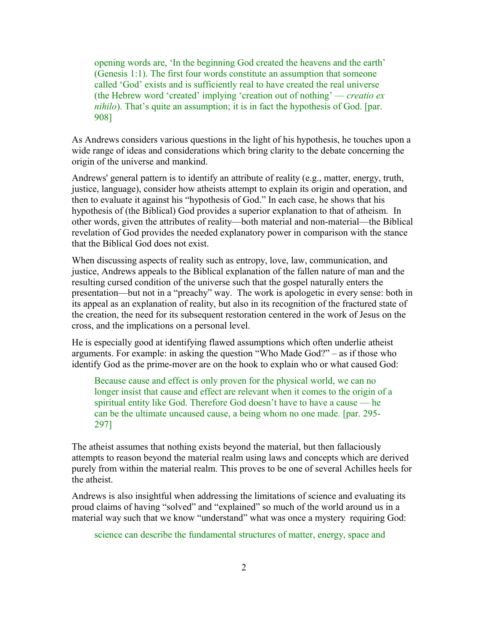opening words are, 'In the beginning God created the heavens and the earth' (Genesis 1:1). The first four words constitute an assumption that someone called 'God' exists and is sufficiently real to have created the real universe (the Hebrew word 'created' implying 'creation out of nothing' — *creatio ex nihilo*). That's quite an assumption; it is in fact the hypothesis of God. [par. 908]

As Andrews considers various questions in the light of his hypothesis, he touches upon a wide range of ideas and considerations which bring clarity to the debate concerning the origin of the universe and mankind.

Andrews' general pattern is to identify an attribute of reality (e.g., matter, energy, truth, justice, language), consider how atheists attempt to explain its origin and operation, and then to evaluate it against his "hypothesis of God." In each case, he shows that his hypothesis of (the Biblical) God provides a superior explanation to that of atheism. In other words, given the attributes of reality—both material and non-material—the Biblical revelation of God provides the needed explanatory power in comparison with the stance that the Biblical God does not exist.

When discussing aspects of reality such as entropy, love, law, communication, and justice, Andrews appeals to the Biblical explanation of the fallen nature of man and the resulting cursed condition of the universe such that the gospel naturally enters the presentation—but not in a "preachy" way. The work is apologetic in every sense: both in its appeal as an explanation of reality, but also in its recognition of the fractured state of the creation, the need for its subsequent restoration centered in the work of Jesus on the cross, and the implications on a personal level.

He is especially good at identifying flawed assumptions which often underlie atheist arguments. For example: in asking the question "Who Made God?" – as if those who identify God as the prime-mover are on the hook to explain who or what caused God:

Because cause and effect is only proven for the physical world, we can no longer insist that cause and effect are relevant when it comes to the origin of a spiritual entity like God. Therefore God doesn't have to have a cause — he can be the ultimate uncaused cause, a being whom no one made. [par. 295- 297]

The atheist assumes that nothing exists beyond the material, but then fallaciously attempts to reason beyond the material realm using laws and concepts which are derived purely from within the material realm. This proves to be one of several Achilles heels for the atheist.

Andrews is also insightful when addressing the limitations of science and evaluating its proud claims of having "solved" and "explained" so much of the world around us in a material way such that we know "understand" what was once a mystery requiring God:

science can describe the fundamental structures of matter, energy, space and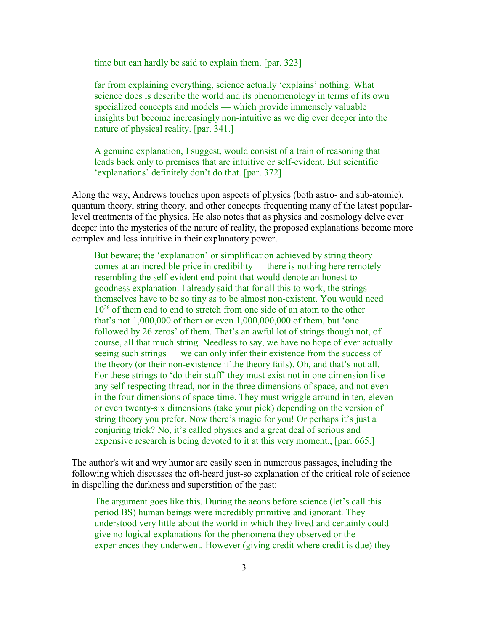time but can hardly be said to explain them. [par. 323]

far from explaining everything, science actually 'explains' nothing. What science does is describe the world and its phenomenology in terms of its own specialized concepts and models — which provide immensely valuable insights but become increasingly non-intuitive as we dig ever deeper into the nature of physical reality. [par. 341.]

A genuine explanation, I suggest, would consist of a train of reasoning that leads back only to premises that are intuitive or self-evident. But scientific 'explanations' definitely don't do that. [par. 372]

Along the way, Andrews touches upon aspects of physics (both astro- and sub-atomic), quantum theory, string theory, and other concepts frequenting many of the latest popularlevel treatments of the physics. He also notes that as physics and cosmology delve ever deeper into the mysteries of the nature of reality, the proposed explanations become more complex and less intuitive in their explanatory power.

But beware; the 'explanation' or simplification achieved by string theory comes at an incredible price in credibility — there is nothing here remotely resembling the self-evident end-point that would denote an honest-togoodness explanation. I already said that for all this to work, the strings themselves have to be so tiny as to be almost non-existent. You would need 10<sup>26</sup> of them end to end to stretch from one side of an atom to the other that's not 1,000,000 of them or even 1,000,000,000 of them, but 'one followed by 26 zeros' of them. That's an awful lot of strings though not, of course, all that much string. Needless to say, we have no hope of ever actually seeing such strings — we can only infer their existence from the success of the theory (or their non-existence if the theory fails). Oh, and that's not all. For these strings to 'do their stuff' they must exist not in one dimension like any self-respecting thread, nor in the three dimensions of space, and not even in the four dimensions of space-time. They must wriggle around in ten, eleven or even twenty-six dimensions (take your pick) depending on the version of string theory you prefer. Now there's magic for you! Or perhaps it's just a conjuring trick? No, it's called physics and a great deal of serious and expensive research is being devoted to it at this very moment., [par. 665.]

The author's wit and wry humor are easily seen in numerous passages, including the following which discusses the oft-heard just-so explanation of the critical role of science in dispelling the darkness and superstition of the past:

The argument goes like this. During the aeons before science (let's call this period BS) human beings were incredibly primitive and ignorant. They understood very little about the world in which they lived and certainly could give no logical explanations for the phenomena they observed or the experiences they underwent. However (giving credit where credit is due) they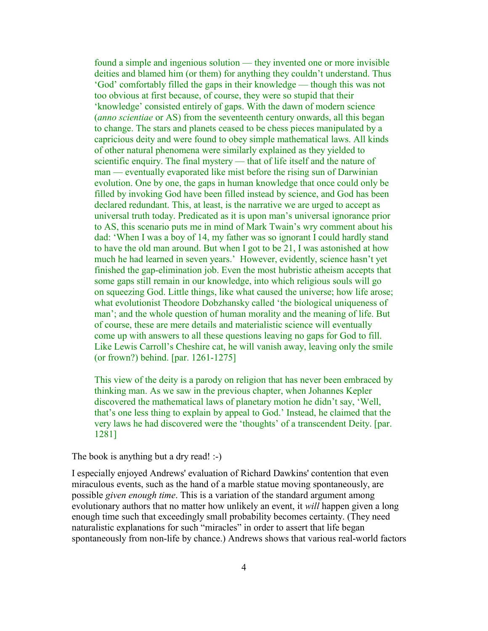found a simple and ingenious solution — they invented one or more invisible deities and blamed him (or them) for anything they couldn't understand. Thus 'God' comfortably filled the gaps in their knowledge — though this was not too obvious at first because, of course, they were so stupid that their 'knowledge' consisted entirely of gaps. With the dawn of modern science (*anno scientiae* or AS) from the seventeenth century onwards, all this began to change. The stars and planets ceased to be chess pieces manipulated by a capricious deity and were found to obey simple mathematical laws. All kinds of other natural phenomena were similarly explained as they yielded to scientific enquiry. The final mystery — that of life itself and the nature of man — eventually evaporated like mist before the rising sun of Darwinian evolution. One by one, the gaps in human knowledge that once could only be filled by invoking God have been filled instead by science, and God has been declared redundant. This, at least, is the narrative we are urged to accept as universal truth today. Predicated as it is upon man's universal ignorance prior to AS, this scenario puts me in mind of Mark Twain's wry comment about his dad: 'When I was a boy of 14, my father was so ignorant I could hardly stand to have the old man around. But when I got to be 21, I was astonished at how much he had learned in seven years.' However, evidently, science hasn't yet finished the gap-elimination job. Even the most hubristic atheism accepts that some gaps still remain in our knowledge, into which religious souls will go on squeezing God. Little things, like what caused the universe; how life arose; what evolutionist Theodore Dobzhansky called 'the biological uniqueness of man'; and the whole question of human morality and the meaning of life. But of course, these are mere details and materialistic science will eventually come up with answers to all these questions leaving no gaps for God to fill. Like Lewis Carroll's Cheshire cat, he will vanish away, leaving only the smile (or frown?) behind. [par. 1261-1275]

This view of the deity is a parody on religion that has never been embraced by thinking man. As we saw in the previous chapter, when Johannes Kepler discovered the mathematical laws of planetary motion he didn't say, 'Well, that's one less thing to explain by appeal to God.' Instead, he claimed that the very laws he had discovered were the 'thoughts' of a transcendent Deity. [par. 1281]

## The book is anything but a dry read! :-)

I especially enjoyed Andrews' evaluation of Richard Dawkins' contention that even miraculous events, such as the hand of a marble statue moving spontaneously, are possible *given enough time*. This is a variation of the standard argument among evolutionary authors that no matter how unlikely an event, it *will* happen given a long enough time such that exceedingly small probability becomes certainty. (They need naturalistic explanations for such "miracles" in order to assert that life began spontaneously from non-life by chance.) Andrews shows that various real-world factors